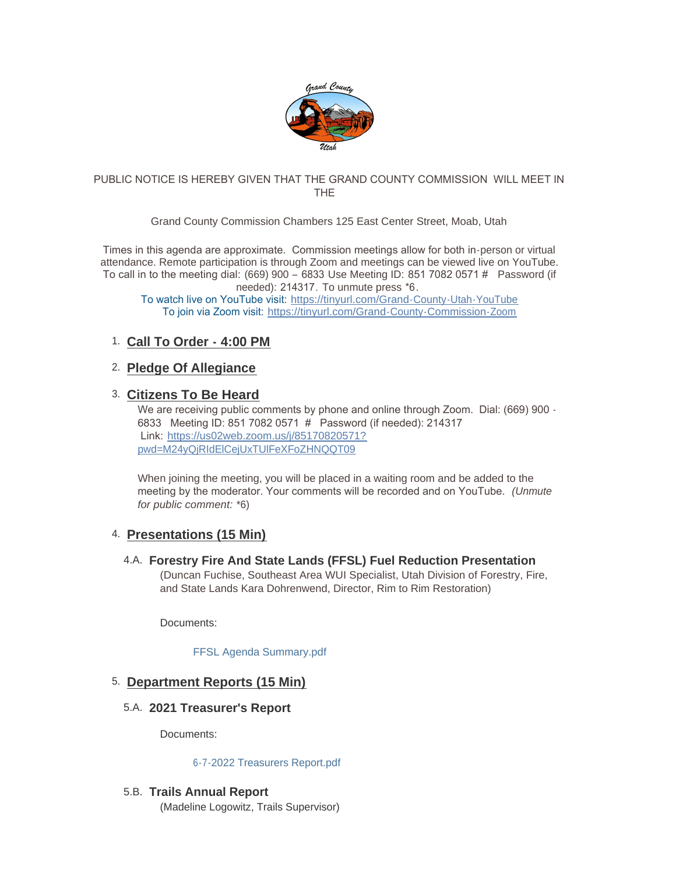

## PUBLIC NOTICE IS HEREBY GIVEN THAT THE GRAND COUNTY COMMISSION WILL MEET IN THE

## Grand County Commission Chambers 125 East Center Street, Moab, Utah

Times in this agenda are approximate. Commission meetings allow for both in-person or virtual attendance. Remote participation is through Zoom and meetings can be viewed live on YouTube. To call in to the meeting dial: (669) 900 – 6833 Use Meeting ID: 851 7082 0571 # Password (if needed): 214317. To unmute press \*6.

To watch live on YouTube visit: [https://tinyurl.com/Grand-County-Utah-YouTube](https://www.youtube.com/c/GrandCountyUtahGovernment/featured) To join via Zoom visit: [https://tinyurl.com/Grand-County-Commission-Zoom](https://us02web.zoom.us/j/85170820571?pwd=M24yQjRIdElCejUxTUlFeXFoZHNQQT09#success)

# **Call To Order - 4:00 PM** 1.

# **Pledge Of Allegiance**  2.

## **Citizens To Be Heard** 3.

We are receiving public comments by phone and online through Zoom. Dial: (669) 900 -6833 Meeting ID: 851 7082 0571 # Password (if needed): 214317 Link: [https://us02web.zoom.us/j/85170820571?](https://www.google.com/url?q=https://us02web.zoom.us/j/85170820571?pwd%3DM24yQjRIdElCejUxTUlFeXFoZHNQQT09&sa=D&source=calendar&ust=1622558055397000&usg=AOvVaw3kyggO0poLAGEQG4MJDzF9) pwd=M24yQjRIdElCejUxTUlFeXFoZHNQQT09

When joining the meeting, you will be placed in a waiting room and be added to the meeting by the moderator. Your comments will be recorded and on YouTube. *(Unmute for public comment:* \*6)

# **Presentations (15 Min)** 4.

**Forestry Fire And State Lands (FFSL) Fuel Reduction Presentation** 4.A. (Duncan Fuchise, Southeast Area WUI Specialist, Utah Division of Forestry, Fire,

and State Lands Kara Dohrenwend, Director, Rim to Rim Restoration)

Documents:

[FFSL Agenda Summary.pdf](https://grandcountyutah.net/AgendaCenter/ViewFile/Item/252?fileID=38988)

## **Department Reports (15 Min)** 5.

**2021 Treasurer's Report** 5.A.

Documents:

## [6-7-2022 Treasurers Report.pdf](https://grandcountyutah.net/AgendaCenter/ViewFile/Item/280?fileID=39144)

# **Trails Annual Report**  5.B.

(Madeline Logowitz, Trails Supervisor)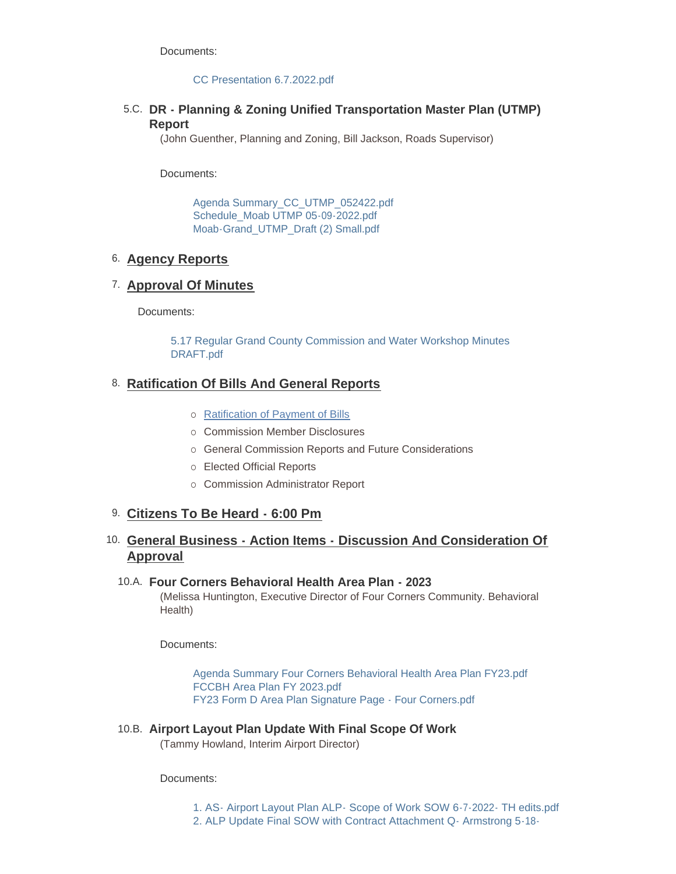Documents:

#### [CC Presentation 6.7.2022.pdf](https://grandcountyutah.net/AgendaCenter/ViewFile/Item/257?fileID=39139)

# **DR - Planning & Zoning Unified Transportation Master Plan (UTMP)** 5.C. **Report**

(John Guenther, Planning and Zoning, Bill Jackson, Roads Supervisor)

Documents:

[Agenda Summary\\_CC\\_UTMP\\_052422.pdf](https://grandcountyutah.net/AgendaCenter/ViewFile/Item/215?fileID=38935) [Schedule\\_Moab UTMP 05-09-2022.pdf](https://grandcountyutah.net/AgendaCenter/ViewFile/Item/215?fileID=38937) [Moab-Grand\\_UTMP\\_Draft \(2\) Small.pdf](https://grandcountyutah.net/AgendaCenter/ViewFile/Item/215?fileID=39223)

# **Agency Reports** 6.

# **Approval Of Minutes** 7.

Documents:

[5.17 Regular Grand County Commission and Water Workshop Minutes](https://grandcountyutah.net/AgendaCenter/ViewFile/Item/259?fileID=39085)  DRAFT.pdf

# **Ratification Of Bills And General Reports** 8.

- o [Ratification of Payment of Bills](https://grandcountyutah.net/DocumentCenter/View/13928)
- ¡ Commission Member Disclosures
- o General Commission Reports and Future Considerations
- o Elected Official Reports
- o Commission Administrator Report

# 9. Citizens To Be Heard - 6:00 Pm

# **General Business - Action Items - Discussion And Consideration Of**  10. **Approval**

## **Four Corners Behavioral Health Area Plan - 2023** 10.A.

(Melissa Huntington, Executive Director of Four Corners Community. Behavioral Health)

Documents:

[Agenda Summary Four Corners Behavioral Health Area Plan FY23.pdf](https://grandcountyutah.net/AgendaCenter/ViewFile/Item/253?fileID=38989) [FCCBH Area Plan FY 2023.pdf](https://grandcountyutah.net/AgendaCenter/ViewFile/Item/253?fileID=38990) [FY23 Form D Area Plan Signature Page - Four Corners.pdf](https://grandcountyutah.net/AgendaCenter/ViewFile/Item/253?fileID=38991)

**Airport Layout Plan Update With Final Scope Of Work** 10.B. (Tammy Howland, Interim Airport Director)

Documents:

[1. AS- Airport Layout Plan ALP- Scope of Work SOW 6-7-2022- TH edits.pdf](https://grandcountyutah.net/AgendaCenter/ViewFile/Item/265?fileID=39116) [2. ALP Update Final SOW with Contract Attachment Q- Armstrong 5-18-](https://grandcountyutah.net/AgendaCenter/ViewFile/Item/265?fileID=39117)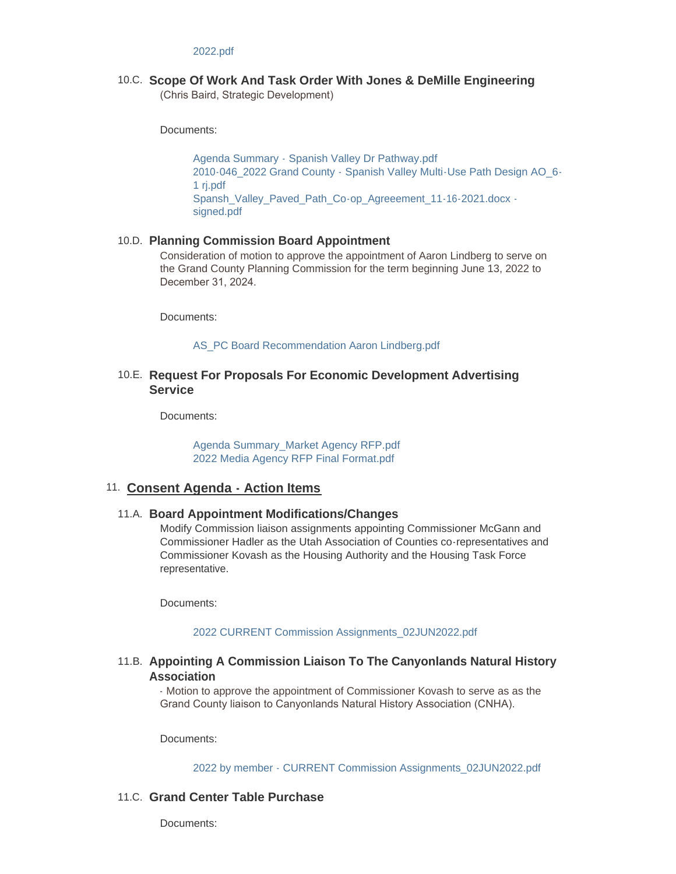#### 2022.pdf

### **Scope Of Work And Task Order With Jones & DeMille Engineering** 10.C.

(Chris Baird, Strategic Development)

Documents:

[Agenda Summary - Spanish Valley Dr Pathway.pdf](https://grandcountyutah.net/AgendaCenter/ViewFile/Item/274?fileID=39133) [2010-046\\_2022 Grand County - Spanish Valley Multi-Use Path Design AO\\_6-](https://grandcountyutah.net/AgendaCenter/ViewFile/Item/274?fileID=39134) 1 rj.pdf [Spansh\\_Valley\\_Paved\\_Path\\_Co-op\\_Agreeement\\_11-16-2021.docx](https://grandcountyutah.net/AgendaCenter/ViewFile/Item/274?fileID=39135)  signed.pdf

#### **Planning Commission Board Appointment** 10.D.

Consideration of motion to approve the appointment of Aaron Lindberg to serve on the Grand County Planning Commission for the term beginning June 13, 2022 to December 31, 2024.

Documents:

#### [AS\\_PC Board Recommendation Aaron Lindberg.pdf](https://grandcountyutah.net/AgendaCenter/ViewFile/Item/281?fileID=39160)

### **Request For Proposals For Economic Development Advertising**  10.E. **Service**

Documents:

[Agenda Summary\\_Market Agency RFP.pdf](https://grandcountyutah.net/AgendaCenter/ViewFile/Item/260?fileID=39194) [2022 Media Agency RFP Final Format.pdf](https://grandcountyutah.net/AgendaCenter/ViewFile/Item/260?fileID=39221)

### **Consent Agenda - Action Items** 11.

#### **Board Appointment Modifications/Changes** 11.A.

Modify Commission liaison assignments appointing Commissioner McGann and Commissioner Hadler as the Utah Association of Counties co-representatives and Commissioner Kovash as the Housing Authority and the Housing Task Force representative.

Documents:

#### [2022 CURRENT Commission Assignments\\_02JUN2022.pdf](https://grandcountyutah.net/AgendaCenter/ViewFile/Item/282?fileID=39169)

### **Appointing A Commission Liaison To The Canyonlands Natural History**  11.B. **Association**

- Motion to approve the appointment of Commissioner Kovash to serve as as the Grand County liaison to Canyonlands Natural History Association (CNHA).

Documents:

[2022 by member - CURRENT Commission Assignments\\_02JUN2022.pdf](https://grandcountyutah.net/AgendaCenter/ViewFile/Item/261?fileID=39165)

#### 11.C. Grand Center Table Purchase

Documents: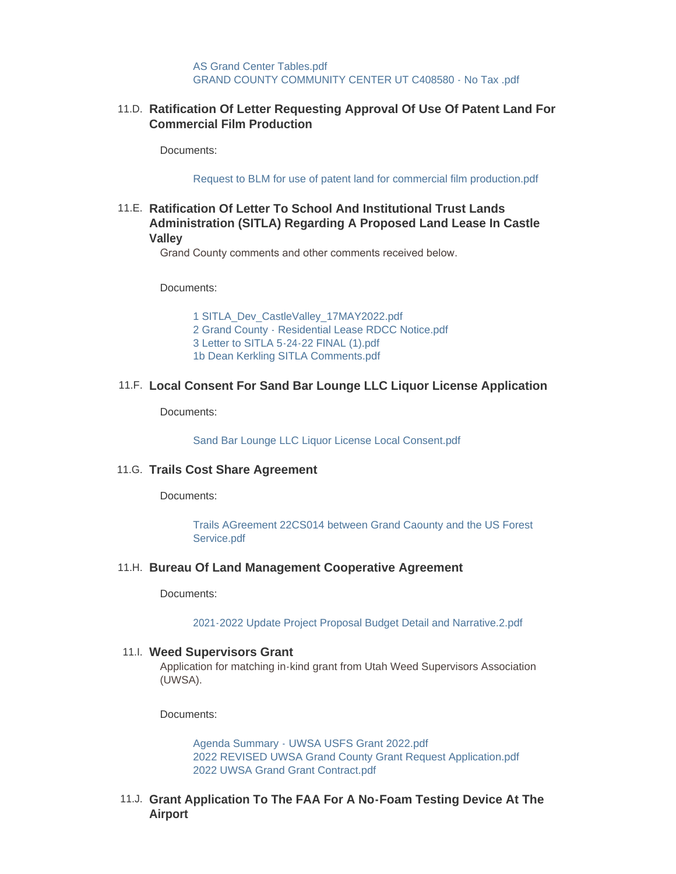[AS Grand Center Tables.pdf](https://grandcountyutah.net/AgendaCenter/ViewFile/Item/279?fileID=39140) [GRAND COUNTY COMMUNITY CENTER UT C408580 - No Tax .pdf](https://grandcountyutah.net/AgendaCenter/ViewFile/Item/279?fileID=39222)

### **Ratification Of Letter Requesting Approval Of Use Of Patent Land For**  11.D. **Commercial Film Production**

Documents:

[Request to BLM for use of patent land for commercial film production.pdf](https://grandcountyutah.net/AgendaCenter/ViewFile/Item/262?fileID=39096)

## **Ratification Of Letter To School And Institutional Trust Lands**  11.E. **Administration (SITLA) Regarding A Proposed Land Lease In Castle Valley**

Grand County comments and other comments received below.

Documents:

[1 SITLA\\_Dev\\_CastleValley\\_17MAY2022.pdf](https://grandcountyutah.net/AgendaCenter/ViewFile/Item/264?fileID=39170) [2 Grand County - Residential Lease RDCC Notice.pdf](https://grandcountyutah.net/AgendaCenter/ViewFile/Item/264?fileID=39171) [3 Letter to SITLA 5-24-22 FINAL \(1\).pdf](https://grandcountyutah.net/AgendaCenter/ViewFile/Item/264?fileID=39172) [1b Dean Kerkling SITLA Comments.pdf](https://grandcountyutah.net/AgendaCenter/ViewFile/Item/264?fileID=39173)

### **Local Consent For Sand Bar Lounge LLC Liquor License Application** 11.F.

Documents:

[Sand Bar Lounge LLC Liquor License Local Consent.pdf](https://grandcountyutah.net/AgendaCenter/ViewFile/Item/263?fileID=39097)

#### **Trails Cost Share Agreement** 11.G.

Documents:

[Trails AGreement 22CS014 between Grand Caounty and the US Forest](https://grandcountyutah.net/AgendaCenter/ViewFile/Item/270?fileID=39132)  Service.pdf

#### **Bureau Of Land Management Cooperative Agreement** 11.H.

Documents:

[2021-2022 Update Project Proposal Budget Detail and Narrative.2.pdf](https://grandcountyutah.net/AgendaCenter/ViewFile/Item/278?fileID=39138)

#### **Weed Supervisors Grant**  11.I.

Application for matching in-kind grant from Utah Weed Supervisors Association (UWSA).

Documents:

[Agenda Summary - UWSA USFS Grant 2022.pdf](https://grandcountyutah.net/AgendaCenter/ViewFile/Item/216?fileID=38939) [2022 REVISED UWSA Grand County Grant Request Application.pdf](https://grandcountyutah.net/AgendaCenter/ViewFile/Item/216?fileID=38940) [2022 UWSA Grand Grant Contract.pdf](https://grandcountyutah.net/AgendaCenter/ViewFile/Item/216?fileID=38941)

**Grant Application To The FAA For A No-Foam Testing Device At The**  11.J. **Airport**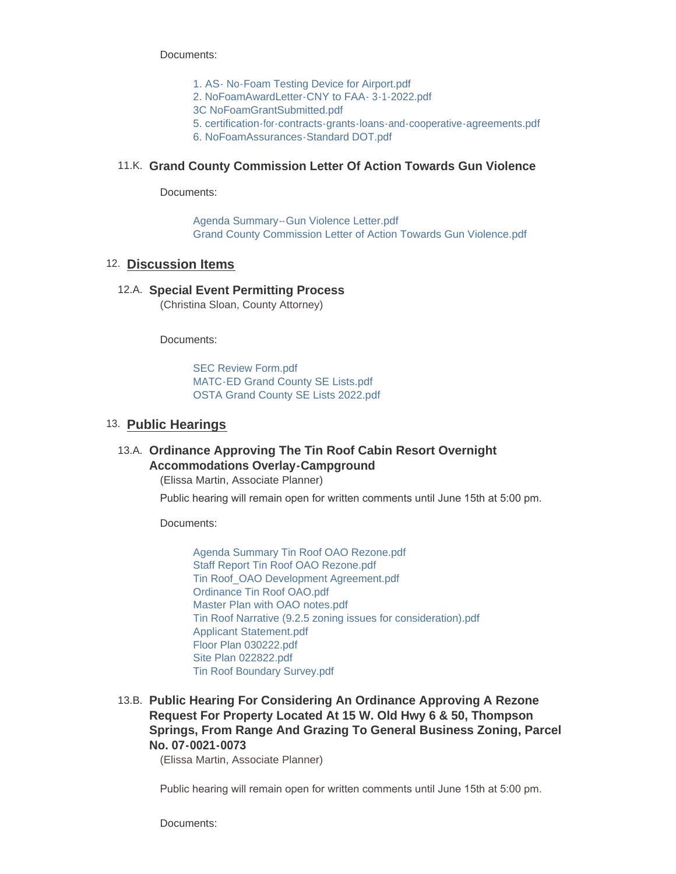Documents:

- [1. AS- No-Foam Testing Device for Airport.pdf](https://grandcountyutah.net/AgendaCenter/ViewFile/Item/283?fileID=39184)
- [2. NoFoamAwardLetter-CNY to FAA- 3-1-2022.pdf](https://grandcountyutah.net/AgendaCenter/ViewFile/Item/283?fileID=39185)
- [3C NoFoamGrantSubmitted.pdf](https://grandcountyutah.net/AgendaCenter/ViewFile/Item/283?fileID=39189)
- [5. certification-for-contracts-grants-loans-and-cooperative-agreements.pdf](https://grandcountyutah.net/AgendaCenter/ViewFile/Item/283?fileID=39187)
- [6. NoFoamAssurances-Standard DOT.pdf](https://grandcountyutah.net/AgendaCenter/ViewFile/Item/283?fileID=39188)

### **Grand County Commission Letter Of Action Towards Gun Violence** 11.K.

Documents:

[Agenda Summary--Gun Violence Letter.pdf](https://grandcountyutah.net/AgendaCenter/ViewFile/Item/277?fileID=39162) [Grand County Commission Letter of Action Towards Gun Violence.pdf](https://grandcountyutah.net/AgendaCenter/ViewFile/Item/277?fileID=39163)

## 12. Discussion Items

#### 12.A. Special Event Permitting Process

(Christina Sloan, County Attorney)

Documents:

[SEC Review Form.pdf](https://grandcountyutah.net/AgendaCenter/ViewFile/Item/272?fileID=39128) [MATC-ED Grand County SE Lists.pdf](https://grandcountyutah.net/AgendaCenter/ViewFile/Item/272?fileID=39129) [OSTA Grand County SE Lists 2022.pdf](https://grandcountyutah.net/AgendaCenter/ViewFile/Item/272?fileID=39130)

## 13. Public Hearings

## **Ordinance Approving The Tin Roof Cabin Resort Overnight**  13.A. **Accommodations Overlay-Campground**

(Elissa Martin, Associate Planner)

Public hearing will remain open for written comments until June 15th at 5:00 pm.

Documents:

[Agenda Summary Tin Roof OAO Rezone.pdf](https://grandcountyutah.net/AgendaCenter/ViewFile/Item/255?fileID=38994) [Staff Report Tin Roof OAO Rezone.pdf](https://grandcountyutah.net/AgendaCenter/ViewFile/Item/255?fileID=38995) [Tin Roof\\_OAO Development Agreement.pdf](https://grandcountyutah.net/AgendaCenter/ViewFile/Item/255?fileID=38996) [Ordinance Tin Roof OAO.pdf](https://grandcountyutah.net/AgendaCenter/ViewFile/Item/255?fileID=38997) [Master Plan with OAO notes.pdf](https://grandcountyutah.net/AgendaCenter/ViewFile/Item/255?fileID=38998) [Tin Roof Narrative \(9.2.5 zoning issues for consideration\).pdf](https://grandcountyutah.net/AgendaCenter/ViewFile/Item/255?fileID=38999) [Applicant Statement.pdf](https://grandcountyutah.net/AgendaCenter/ViewFile/Item/255?fileID=39000) [Floor Plan 030222.pdf](https://grandcountyutah.net/AgendaCenter/ViewFile/Item/255?fileID=39001) [Site Plan 022822.pdf](https://grandcountyutah.net/AgendaCenter/ViewFile/Item/255?fileID=39002) [Tin Roof Boundary Survey.pdf](https://grandcountyutah.net/AgendaCenter/ViewFile/Item/255?fileID=39003)

**Public Hearing For Considering An Ordinance Approving A Rezone**  13.B. **Request For Property Located At 15 W. Old Hwy 6 & 50, Thompson Springs, From Range And Grazing To General Business Zoning, Parcel No. 07-0021-0073** 

(Elissa Martin, Associate Planner)

Public hearing will remain open for written comments until June 15th at 5:00 pm.

Documents: